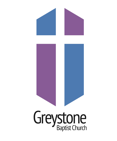## Greystone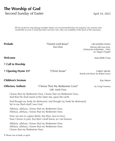## **The Worship of God**  Second Sunday of Easter April 24, 2022

*All Are invited to sing during worship! Masks are recommended but not required. For anyone who would like to wear a mask but does not have one, they are available at the back of the sanctuary.* 

**Prelude** "Fairest Lord Jesus"CRUSADERS HYMN; Pam Weis **Pam Weis** Silesian folk tune from Schlesische Volkslieder , 1842; arr. Pepper Choplin **Welcome Anna Beth Cross ☦ Call to Worship T** Opening Hymn 357 **CHRIST AROSE**; **CHRIST AROSE**; Words and Music by Robert Lowry **Children's Sermon** Kay Meyer **Offertory Anthem** "I Know That My Redeemer Lives" by Craig Courtney GBC Adult Choir I know that my Redeemer lives, I know that my Redeemer lives, And that He shall stand at the latter day upon the earth. And though my body be destroyed, and though my body be destroyed, Yet in my flesh shall I see God. Alleluia, alleluia, I know that my Redeemer lives. Alleluia, alleluia, I know that my Redeemer lives. Now we see in a glass dimly, but then, face to face; Now I know in part, but then I shall know as I am known. Alleluia, alleluia, I know that my Redeemer lives. Alleluia, alleluia, I know that my Redeemer lives. I know that my Redeemer lives.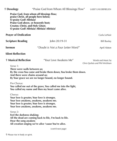| † Doxology                                                                                                                                                                                                | "Praise God from Whom All Blessings Flow"                                                                                                                                          | <b>LASST UNS ERFREUEN</b>                            |  |  |
|-----------------------------------------------------------------------------------------------------------------------------------------------------------------------------------------------------------|------------------------------------------------------------------------------------------------------------------------------------------------------------------------------------|------------------------------------------------------|--|--|
| praise Christ, all people here below;<br>O praise God! Alleluia!<br>Praise God above, ye heavenly host;<br>Creator, Christ, and Holy Ghost.                                                               | Praise God, from whom all blessings flow;<br>O praise God! Alleluia! Alleluia! Alleluia!                                                                                           |                                                      |  |  |
| <b>Prayer of Dedication</b>                                                                                                                                                                               |                                                                                                                                                                                    | Carla LeNoir                                         |  |  |
| <b>Scripture Reading</b>                                                                                                                                                                                  | John 20:19-31                                                                                                                                                                      | <b>Bill Baxley</b>                                   |  |  |
| <b>Sermon</b>                                                                                                                                                                                             | "Doubt is Not a Four Letter Word"                                                                                                                                                  | April Alston                                         |  |  |
| <b>Silent Reflection</b>                                                                                                                                                                                  |                                                                                                                                                                                    |                                                      |  |  |
| † Musical Reflection                                                                                                                                                                                      | "Your Love Awakens Me"                                                                                                                                                             | Words and Music by<br>Chris Quilala and Phil Wickham |  |  |
| Verse 1:<br>There were walls between us;<br>By the cross You came and broke them down, You broke them down.<br>And there were chains around us;<br>By Your grace we are no longer bound, no longer bound. |                                                                                                                                                                                    |                                                      |  |  |
| Pre-Chorus:                                                                                                                                                                                               | You called me out of the grave, You called me into the light,<br>You called my name and then my heart came alive.                                                                  |                                                      |  |  |
| Chorus:                                                                                                                                                                                                   | Your love is greater, Your love is stronger,<br>Your love awakens, awakens, awakens me.<br>Your love is greater, Your love is stronger,<br>Your love awakens, awakens, awakens me. |                                                      |  |  |
| Verse 2:<br>Feel the darkness shaking;<br>Hear the song awaken;                                                                                                                                           | All the dead are coming back to life, I'm back to life.<br>All creation singing we're alive 'cause You're alive.                                                                   |                                                      |  |  |
| (cont'd next page)                                                                                                                                                                                        |                                                                                                                                                                                    |                                                      |  |  |